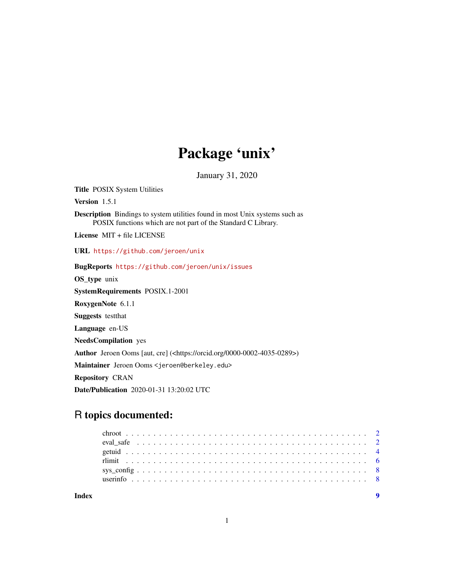## Package 'unix'

January 31, 2020

<span id="page-0-0"></span>Title POSIX System Utilities

Version 1.5.1

Description Bindings to system utilities found in most Unix systems such as POSIX functions which are not part of the Standard C Library.

License MIT + file LICENSE

URL <https://github.com/jeroen/unix>

BugReports <https://github.com/jeroen/unix/issues>

OS\_type unix

SystemRequirements POSIX.1-2001

RoxygenNote 6.1.1

Suggests testthat

Language en-US

NeedsCompilation yes

Author Jeroen Ooms [aut, cre] (<https://orcid.org/0000-0002-4035-0289>)

Maintainer Jeroen Ooms <jeroen@berkeley.edu>

Repository CRAN

Date/Publication 2020-01-31 13:20:02 UTC

## R topics documented:

| Indev |  |  |  |  |  |  |  |  |  |  |  |  |  |  |  |  |  |  |  |  |  |
|-------|--|--|--|--|--|--|--|--|--|--|--|--|--|--|--|--|--|--|--|--|--|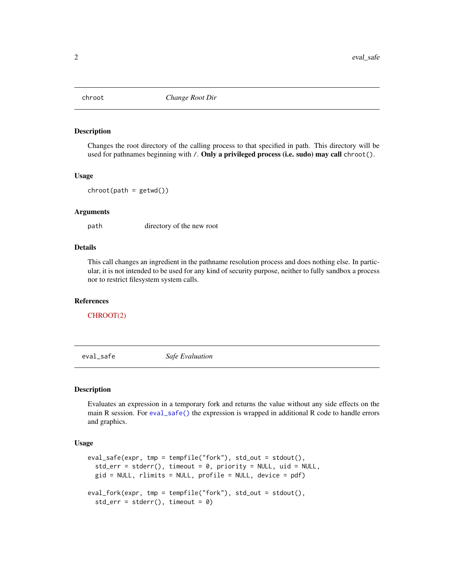<span id="page-1-0"></span>

Changes the root directory of the calling process to that specified in path. This directory will be used for pathnames beginning with /. Only a privileged process (i.e. sudo) may call chroot().

### Usage

 $chroot(path = getwd())$ 

### Arguments

path directory of the new root

### Details

This call changes an ingredient in the pathname resolution process and does nothing else. In particular, it is not intended to be used for any kind of security purpose, neither to fully sandbox a process nor to restrict filesystem system calls.

### References

[CHROOT\(2\)](http://man7.org/linux/man-pages/man2/chroot.2.html)

<span id="page-1-1"></span>eval\_safe *Safe Evaluation*

### Description

Evaluates an expression in a temporary fork and returns the value without any side effects on the main R session. For [eval\\_safe\(\)](#page-1-1) the expression is wrapped in additional R code to handle errors and graphics.

### Usage

```
eval\_safe(exp, tmp = tempfile("fork"), std\_out = stdout(),std_error = stderr(), timeout = 0, priority = NULL, uid = NULL,
  gid = NULL, rlimits = NULL, profile = NULL, device = pdf)
eval_fork(expr, tmp = tempfile("fork"), std_out = stdout(),
  std_error = stderr(), timeout = 0)
```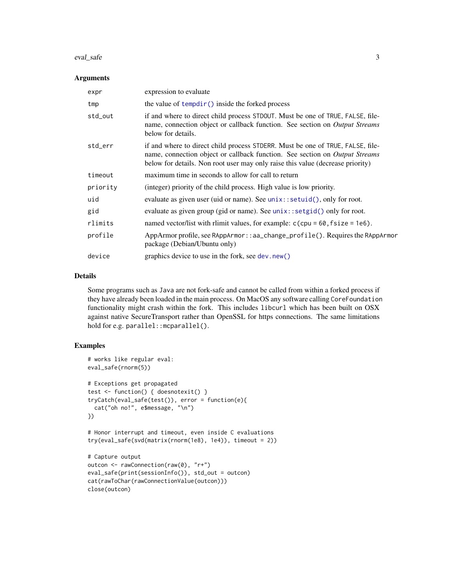### <span id="page-2-0"></span>eval\_safe 3

### **Arguments**

| expr     | expression to evaluate                                                                                                                                                                                                                          |
|----------|-------------------------------------------------------------------------------------------------------------------------------------------------------------------------------------------------------------------------------------------------|
| tmp      | the value of $tempdir()$ inside the forked process                                                                                                                                                                                              |
| std_out  | if and where to direct child process STDOUT. Must be one of TRUE, FALSE, file-<br>name, connection object or callback function. See section on Output Streams<br>below for details.                                                             |
| std_err  | if and where to direct child process STDERR. Must be one of TRUE, FALSE, file-<br>name, connection object or callback function. See section on Output Streams<br>below for details. Non root user may only raise this value (decrease priority) |
| timeout  | maximum time in seconds to allow for call to return                                                                                                                                                                                             |
| priority | (integer) priority of the child process. High value is low priority.                                                                                                                                                                            |
| uid      | evaluate as given user (uid or name). See unix::setuid(), only for root.                                                                                                                                                                        |
| gid      | evaluate as given group (gid or name). See unix::setgid() only for root.                                                                                                                                                                        |
| rlimits  | named vector/list with rlimit values, for example: $c$ (cpu = 60, fsize = 1e6).                                                                                                                                                                 |
| profile  | AppArmor profile, see RAppArmor::aa_change_profile(). Requires the RAppArmor<br>package (Debian/Ubuntu only)                                                                                                                                    |
| device   | graphics device to use in the fork, see dev.new()                                                                                                                                                                                               |

### Details

Some programs such as Java are not fork-safe and cannot be called from within a forked process if they have already been loaded in the main process. On MacOS any software calling CoreFoundation functionality might crash within the fork. This includes libcurl which has been built on OSX against native SecureTransport rather than OpenSSL for https connections. The same limitations hold for e.g. parallel::mcparallel().

### Examples

```
# works like regular eval:
eval_safe(rnorm(5))
# Exceptions get propagated
test <- function() { doesnotexit() }
tryCatch(eval_safe(test()), error = function(e){
 cat("oh no!", e$message, "\n")
})
# Honor interrupt and timeout, even inside C evaluations
try(eval_safe(svd(matrix(rnorm(1e8), 1e4)), timeout = 2))
# Capture output
outcon <- rawConnection(raw(0), "r+")
eval_safe(print(sessionInfo()), std_out = outcon)
cat(rawToChar(rawConnectionValue(outcon)))
close(outcon)
```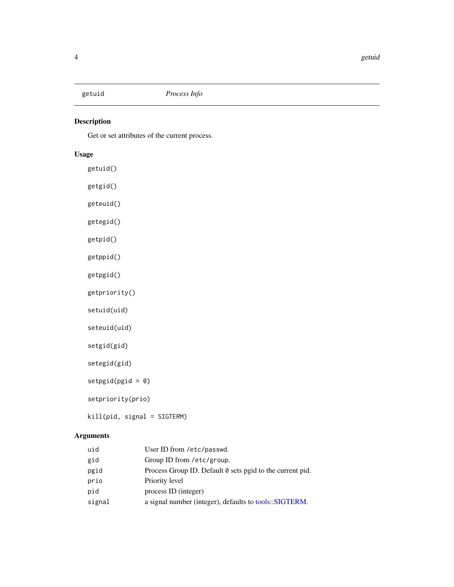<span id="page-3-0"></span>

Get or set attributes of the current process.

### Usage

getuid() getgid() geteuid() getegid() getpid() getppid() getpgid() getpriority() setuid(uid) seteuid(uid) setgid(gid) setegid(gid) setpgid(pgid = 0) setpriority(prio) kill(pid, signal = SIGTERM)

### Arguments

| uid    | User ID from /etc/passwd.                                 |
|--------|-----------------------------------------------------------|
| gid    | Group ID from /etc/group.                                 |
| pgid   | Process Group ID. Default 0 sets pgid to the current pid. |
| prio   | Priority level                                            |
| pid    | process ID (integer)                                      |
| signal | a signal number (integer), defaults to tools::SIGTERM.    |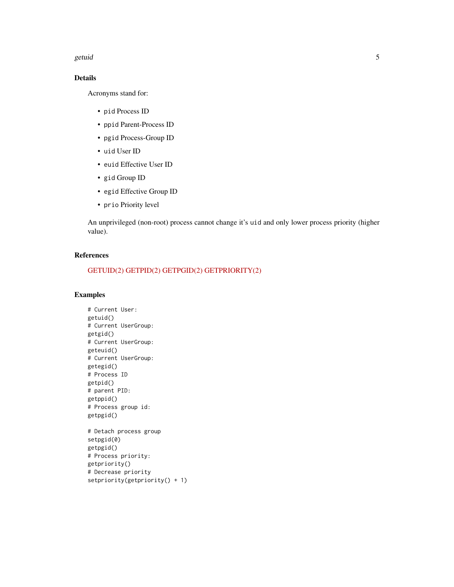### getuid 5 and 5 and 5 and 5 and 5 and 5 and 5 and 5 and 5 and 5 and 5 and 5 and 5 and 5 and 5 and 5 and 5 and 5

### Details

Acronyms stand for:

- pid Process ID
- ppid Parent-Process ID
- pgid Process-Group ID
- uid User ID
- euid Effective User ID
- gid Group ID
- egid Effective Group ID
- prio Priority level

An unprivileged (non-root) process cannot change it's uid and only lower process priority (higher value).

### References

### [GETUID\(2\)](http://man7.org/linux/man-pages/man2/getuid.2.html) [GETPID\(2\)](http://man7.org/linux/man-pages/man2/getpid.2.html) [GETPGID\(2\)](http://man7.org/linux/man-pages/man2/getpgid.2.html) [GETPRIORITY\(2\)](http://man7.org/linux/man-pages/man2/getpriority.2.html)

### Examples

# Current User: getuid() # Current UserGroup: getgid() # Current UserGroup: geteuid() # Current UserGroup: getegid() # Process ID getpid() # parent PID: getppid() # Process group id: getpgid() # Detach process group setpgid(0) getpgid() # Process priority: getpriority() # Decrease priority setpriority(getpriority() + 1)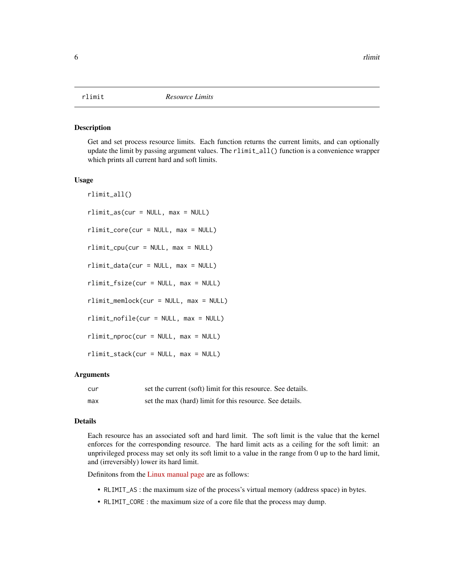<span id="page-5-0"></span>Get and set process resource limits. Each function returns the current limits, and can optionally update the limit by passing argument values. The rlimit\_all() function is a convenience wrapper which prints all current hard and soft limits.

### Usage

```
rlimit_all()
rlimit_as(cur = NULL, max = NULL)
rlimit_core(cur = NULL, max = NULL)
rlimit_cpu(cur = NULL, max = NULL)
rlimit_data(cur = NULL, max = NULL)
rlimit_fsize(cur = NULL, max = NULL)
rlimit_memlock(cur = NULL, max = NULL)
rlimit_nofile(cur = NULL, max = NULL)
rlimit_nproc(cur = NULL, max = NULL)
rlimit_stack(cur = NULL, max = NULL)
```
### Arguments

| cur | set the current (soft) limit for this resource. See details. |
|-----|--------------------------------------------------------------|
| max | set the max (hard) limit for this resource. See details.     |

### Details

Each resource has an associated soft and hard limit. The soft limit is the value that the kernel enforces for the corresponding resource. The hard limit acts as a ceiling for the soft limit: an unprivileged process may set only its soft limit to a value in the range from 0 up to the hard limit, and (irreversibly) lower its hard limit.

Definitons from the [Linux manual page](http://man7.org/linux/man-pages/man2/setrlimit.2.html) are as follows:

- RLIMIT\_AS : the maximum size of the process's virtual memory (address space) in bytes.
- RLIMIT\_CORE : the maximum size of a core file that the process may dump.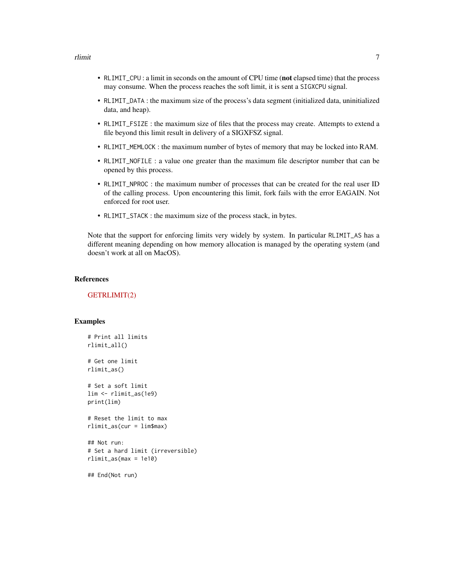- RLIMIT\_CPU : a limit in seconds on the amount of CPU time (not elapsed time) that the process may consume. When the process reaches the soft limit, it is sent a SIGXCPU signal.
- RLIMIT\_DATA : the maximum size of the process's data segment (initialized data, uninitialized data, and heap).
- RLIMIT\_FSIZE : the maximum size of files that the process may create. Attempts to extend a file beyond this limit result in delivery of a SIGXFSZ signal.
- RLIMIT\_MEMLOCK : the maximum number of bytes of memory that may be locked into RAM.
- RLIMIT\_NOFILE : a value one greater than the maximum file descriptor number that can be opened by this process.
- RLIMIT\_NPROC : the maximum number of processes that can be created for the real user ID of the calling process. Upon encountering this limit, fork fails with the error EAGAIN. Not enforced for root user.
- RLIMIT\_STACK : the maximum size of the process stack, in bytes.

Note that the support for enforcing limits very widely by system. In particular RLIMIT\_AS has a different meaning depending on how memory allocation is managed by the operating system (and doesn't work at all on MacOS).

### References

### [GETRLIMIT\(2\)](http://man7.org/linux/man-pages/man2/setrlimit.2.html)

### Examples

```
# Print all limits
rlimit_all()
# Get one limit
rlimit_as()
# Set a soft limit
lim <- rlimit_as(1e9)
print(lim)
# Reset the limit to max
rlimit_as(cur = lim$max)
## Not run:
# Set a hard limit (irreversible)
rlimit_as(max = 1e10)
## End(Not run)
```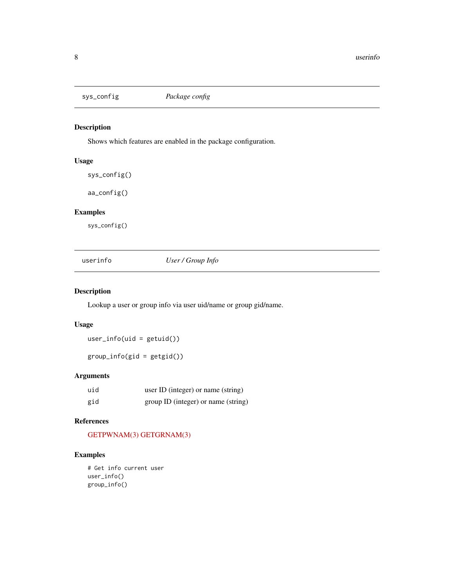<span id="page-7-0"></span>

Shows which features are enabled in the package configuration.

### Usage

```
sys_config()
```
aa\_config()

### Examples

sys\_config()

userinfo *User / Group Info*

### Description

Lookup a user or group info via user uid/name or group gid/name.

### Usage

user\_info(uid = getuid())

group\_info(gid = getgid())

### Arguments

| uid | user ID (integer) or name (string)  |
|-----|-------------------------------------|
| gid | group ID (integer) or name (string) |

### References

### [GETPWNAM\(3\)](http://man7.org/linux/man-pages/man3/getpwnam.3.html) [GETGRNAM\(3\)](http://man7.org/linux/man-pages/man3/getgrnam.3.html)

### Examples

```
# Get info current user
user_info()
group_info()
```